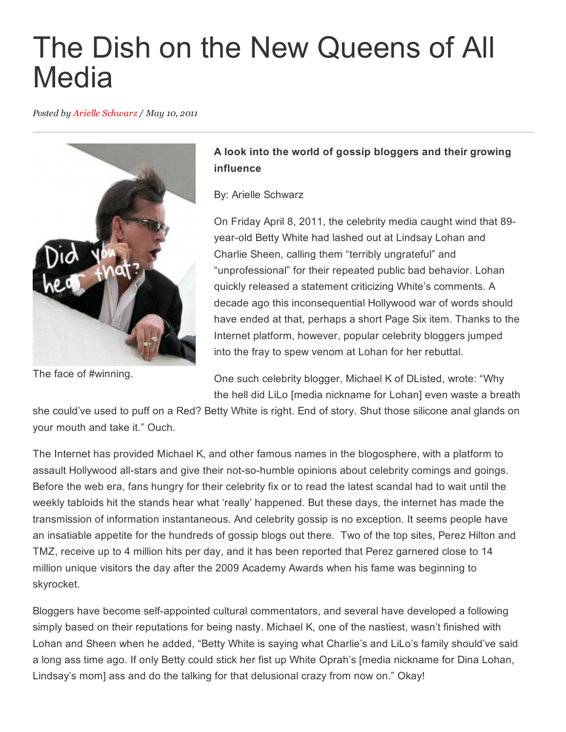## The Dish on the New Queens of All **Media**

## Posted by Arielle [Schwarz](http://fameology.net/author/arielleschwarz/) / May 10, 2011



The face of #winning.

## A look into the world of gossip bloggers and their growing influence

By: Arielle Schwarz

On Friday April 8, 2011, the celebrity media caught wind that 89 year-old Betty White had lashed out at Lindsay Lohan and Charlie Sheen, calling them "terribly ungrateful" and "unprofessional" for their repeated public bad behavior. Lohan quickly released a statement criticizing White's comments. A decade ago this inconsequential Hollywood war of words should have ended at that, perhaps a short Page Six item. Thanks to the Internet platform, however, popular celebrity bloggers jumped into the fray to spew venom at Lohan for her rebuttal.

One such celebrity blogger, Michael K of DListed, wrote: "Why the hell did LiLo [media nickname for Lohan] even waste a breath

she could've used to puff on a Red? Betty White is right. End of story. Shut those silicone anal glands on your mouth and take it." Ouch.

The Internet has provided Michael K, and other famous names in the blogosphere, with a platform to assault Hollywood all-stars and give their not-so-humble opinions about celebrity comings and goings. Before the web era, fans hungry for their celebrity fix or to read the latest scandal had to wait until the weekly tabloids hit the stands hear what 'really' happened. But these days, the internet has made the transmission of information instantaneous. And celebrity gossip is no exception. It seems people have an insatiable appetite for the hundreds of gossip blogs out there. Two of the top sites, Perez Hilton and TMZ, receive up to 4 million hits per day, and it has been reported that Perez garnered close to 14 million unique visitors the day after the 2009 Academy Awards when his fame was beginning to skyrocket.

Bloggers have become self-appointed cultural commentators, and several have developed a following simply based on their reputations for being nasty. Michael K, one of the nastiest, wasn't finished with Lohan and Sheen when he added, "Betty White is saying what Charlie's and LiLo's family should've said a long ass time ago. If only Betty could stick her fist up White Oprah's [media nickname for Dina Lohan, Lindsay's mom] ass and do the talking for that delusional crazy from now on." Okay!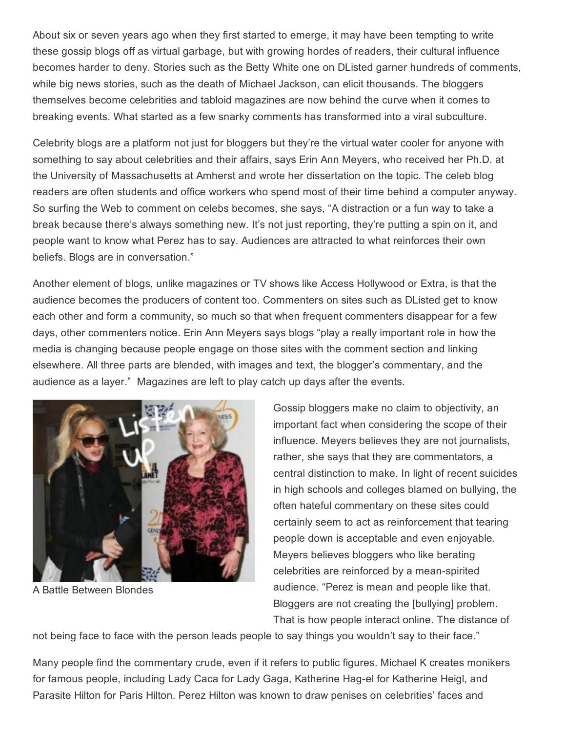About six or seven years ago when they first started to emerge, it may have been tempting to write these gossip blogs off as virtual garbage, but with growing hordes of readers, their cultural influence becomes harder to deny. Stories such as the Betty White one on DListed garner hundreds of comments, while big news stories, such as the death of Michael Jackson, can elicit thousands. The bloggers themselves become celebrities and tabloid magazines are now behind the curve when it comes to breaking events. What started as a few snarky comments has transformed into a viral subculture.

Celebrity blogs are a platform not just for bloggers but they're the virtual water cooler for anyone with something to say about celebrities and their affairs, says Erin Ann Meyers, who received her Ph.D. at the University of Massachusetts at Amherst and wrote her dissertation on the topic. The celeb blog readers are often students and office workers who spend most of their time behind a computer anyway. So surfing the Web to comment on celebs becomes, she says, "A distraction or a fun way to take a break because there's always something new. It's not just reporting, they're putting a spin on it, and people want to know what Perez has to say. Audiences are attracted to what reinforces their own beliefs. Blogs are in conversation."

Another element of blogs, unlike magazines or TV shows like Access Hollywood or Extra, is that the audience becomes the producers of content too. Commenters on sites such as DListed get to know each other and form a community, so much so that when frequent commenters disappear for a few days, other commenters notice. Erin Ann Meyers says blogs "play a really important role in how the media is changing because people engage on those sites with the comment section and linking elsewhere. All three parts are blended, with images and text, the blogger's commentary, and the audience as a layer." Magazines are left to play catch up days after the events.



A Battle Between Blondes

Gossip bloggers make no claim to objectivity, an important fact when considering the scope of their influence. Meyers believes they are not journalists, rather, she says that they are commentators, a central distinction to make. In light of recent suicides in high schools and colleges blamed on bullying, the often hateful commentary on these sites could certainly seem to act as reinforcement that tearing people down is acceptable and even enjoyable. Meyers believes bloggers who like berating celebrities are reinforced by a mean-spirited audience. "Perez is mean and people like that. Bloggers are not creating the [bullying] problem. That is how people interact online. The distance of

not being face to face with the person leads people to say things you wouldn't say to their face."

Many people find the commentary crude, even if it refers to public figures. Michael K creates monikers for famous people, including Lady Caca for Lady Gaga, Katherine Hag-el for Katherine Heigl, and Parasite Hilton for Paris Hilton. Perez Hilton was known to draw penises on celebrities' faces and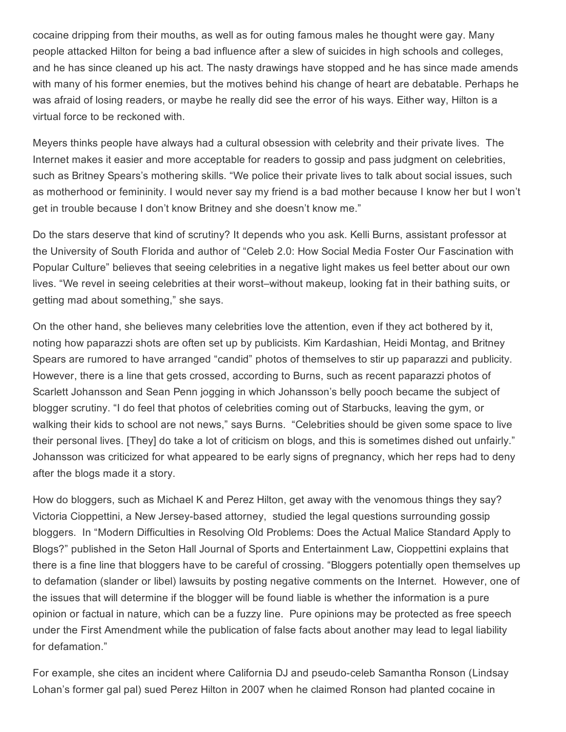cocaine dripping from their mouths, as well as for outing famous males he thought were gay. Many people attacked Hilton for being a bad influence after a slew of suicides in high schools and colleges, and he has since cleaned up his act. The nasty drawings have stopped and he has since made amends with many of his former enemies, but the motives behind his change of heart are debatable. Perhaps he was afraid of losing readers, or maybe he really did see the error of his ways. Either way, Hilton is a virtual force to be reckoned with.

Meyers thinks people have always had a cultural obsession with celebrity and their private lives. The Internet makes it easier and more acceptable for readers to gossip and pass judgment on celebrities, such as Britney Spears's mothering skills. "We police their private lives to talk about social issues, such as motherhood or femininity. I would never say my friend is a bad mother because I know her but I won't get in trouble because I don't know Britney and she doesn't know me."

Do the stars deserve that kind of scrutiny? It depends who you ask. Kelli Burns, assistant professor at the University of South Florida and author of "Celeb 2.0: How Social Media Foster Our Fascination with Popular Culture" believes that seeing celebrities in a negative light makes us feel better about our own lives. "We revel in seeing celebrities at their worst–without makeup, looking fat in their bathing suits, or getting mad about something," she says.

On the other hand, she believes many celebrities love the attention, even if they act bothered by it, noting how paparazzi shots are often set up by publicists. Kim Kardashian, Heidi Montag, and Britney Spears are rumored to have arranged "candid" photos of themselves to stir up paparazzi and publicity. However, there is a line that gets crossed, according to Burns, such as recent paparazzi photos of Scarlett Johansson and Sean Penn jogging in which Johansson's belly pooch became the subject of blogger scrutiny. "I do feel that photos of celebrities coming out of Starbucks, leaving the gym, or walking their kids to school are not news," says Burns. "Celebrities should be given some space to live their personal lives. [They] do take a lot of criticism on blogs, and this is sometimes dished out unfairly." Johansson was criticized for what appeared to be early signs of pregnancy, which her reps had to deny after the blogs made it a story.

How do bloggers, such as Michael K and Perez Hilton, get away with the venomous things they say? Victoria Cioppettini, a New Jersey-based attorney, studied the legal questions surrounding gossip bloggers. In "Modern Difficulties in Resolving Old Problems: Does the Actual Malice Standard Apply to Blogs?" published in the Seton Hall Journal of Sports and Entertainment Law, Cioppettini explains that there is a fine line that bloggers have to be careful of crossing. "Bloggers potentially open themselves up to defamation (slander or libel) lawsuits by posting negative comments on the Internet. However, one of the issues that will determine if the blogger will be found liable is whether the information is a pure opinion or factual in nature, which can be a fuzzy line. Pure opinions may be protected as free speech under the First Amendment while the publication of false facts about another may lead to legal liability for defamation."

For example, she cites an incident where California DJ and pseudo-celeb Samantha Ronson (Lindsay Lohan's former gal pal) sued Perez Hilton in 2007 when he claimed Ronson had planted cocaine in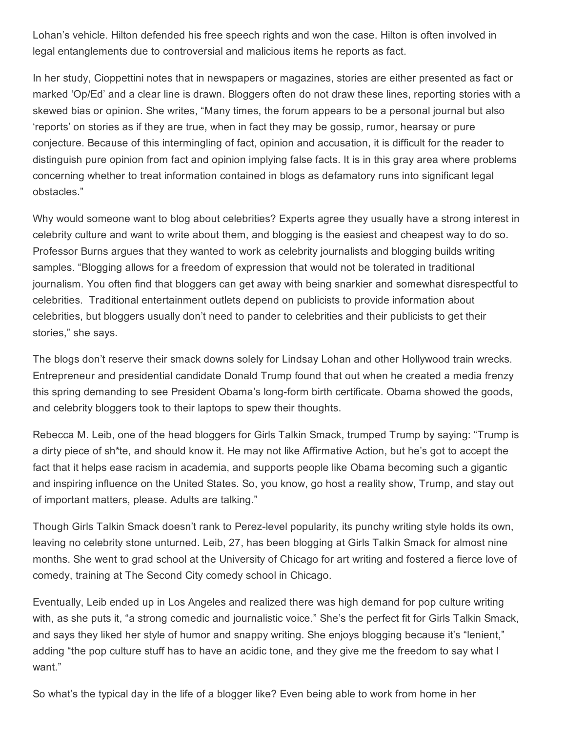Lohan's vehicle. Hilton defended his free speech rights and won the case. Hilton is often involved in legal entanglements due to controversial and malicious items he reports as fact.

In her study, Cioppettini notes that in newspapers or magazines, stories are either presented as fact or marked 'Op/Ed' and a clear line is drawn. Bloggers often do not draw these lines, reporting stories with a skewed bias or opinion. She writes, "Many times, the forum appears to be a personal journal but also 'reports' on stories as if they are true, when in fact they may be gossip, rumor, hearsay or pure conjecture. Because of this intermingling of fact, opinion and accusation, it is difficult for the reader to distinguish pure opinion from fact and opinion implying false facts. It is in this gray area where problems concerning whether to treat information contained in blogs as defamatory runs into significant legal obstacles."

Why would someone want to blog about celebrities? Experts agree they usually have a strong interest in celebrity culture and want to write about them, and blogging is the easiest and cheapest way to do so. Professor Burns argues that they wanted to work as celebrity journalists and blogging builds writing samples. "Blogging allows for a freedom of expression that would not be tolerated in traditional journalism. You often find that bloggers can get away with being snarkier and somewhat disrespectful to celebrities. Traditional entertainment outlets depend on publicists to provide information about celebrities, but bloggers usually don't need to pander to celebrities and their publicists to get their stories," she says.

The blogs don't reserve their smack downs solely for Lindsay Lohan and other Hollywood train wrecks. Entrepreneur and presidential candidate Donald Trump found that out when he created a media frenzy this spring demanding to see President Obama's long-form birth certificate. Obama showed the goods, and celebrity bloggers took to their laptops to spew their thoughts.

Rebecca M. Leib, one of the head bloggers for Girls Talkin Smack, trumped Trump by saying: "Trump is a dirty piece of sh\*te, and should know it. He may not like Affirmative Action, but he's got to accept the fact that it helps ease racism in academia, and supports people like Obama becoming such a gigantic and inspiring influence on the United States. So, you know, go host a reality show, Trump, and stay out of important matters, please. Adults are talking."

Though Girls Talkin Smack doesn't rank to Perez-level popularity, its punchy writing style holds its own, leaving no celebrity stone unturned. Leib, 27, has been blogging at Girls Talkin Smack for almost nine months. She went to grad school at the University of Chicago for art writing and fostered a fierce love of comedy, training at The Second City comedy school in Chicago.

Eventually, Leib ended up in Los Angeles and realized there was high demand for pop culture writing with, as she puts it, "a strong comedic and journalistic voice." She's the perfect fit for Girls Talkin Smack, and says they liked her style of humor and snappy writing. She enjoys blogging because it's "lenient," adding "the pop culture stuff has to have an acidic tone, and they give me the freedom to say what I want."

So what's the typical day in the life of a blogger like? Even being able to work from home in her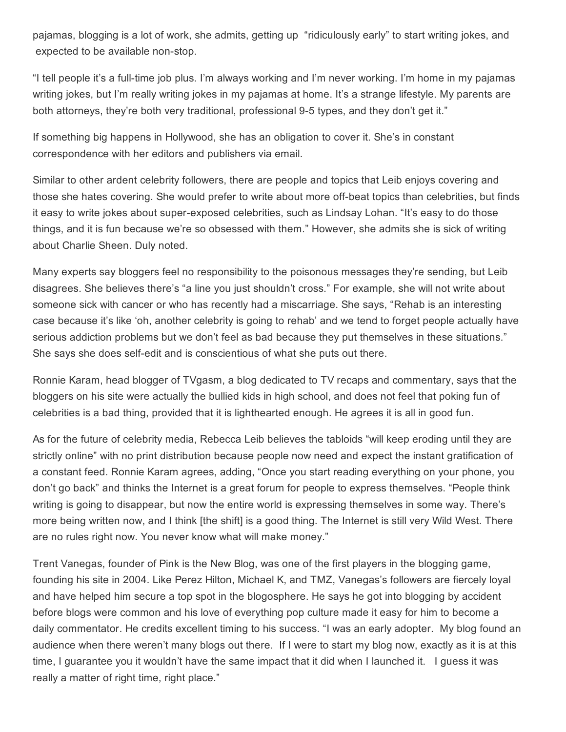pajamas, blogging is a lot of work, she admits, getting up "ridiculously early" to start writing jokes, and expected to be available non-stop.

"I tell people it's a full-time job plus. I'm always working and I'm never working. I'm home in my pajamas writing jokes, but I'm really writing jokes in my pajamas at home. It's a strange lifestyle. My parents are both attorneys, they're both very traditional, professional 9-5 types, and they don't get it."

If something big happens in Hollywood, she has an obligation to cover it. She's in constant correspondence with her editors and publishers via email.

Similar to other ardent celebrity followers, there are people and topics that Leib enjoys covering and those she hates covering. She would prefer to write about more off-beat topics than celebrities, but finds it easy to write jokes about super-exposed celebrities, such as Lindsay Lohan. "It's easy to do those things, and it is fun because we're so obsessed with them." However, she admits she is sick of writing about Charlie Sheen. Duly noted.

Many experts say bloggers feel no responsibility to the poisonous messages they're sending, but Leib disagrees. She believes there's "a line you just shouldn't cross." For example, she will not write about someone sick with cancer or who has recently had a miscarriage. She says, "Rehab is an interesting case because it's like 'oh, another celebrity is going to rehab' and we tend to forget people actually have serious addiction problems but we don't feel as bad because they put themselves in these situations." She says she does self-edit and is conscientious of what she puts out there.

Ronnie Karam, head blogger of TVgasm, a blog dedicated to TV recaps and commentary, says that the bloggers on his site were actually the bullied kids in high school, and does not feel that poking fun of celebrities is a bad thing, provided that it is lighthearted enough. He agrees it is all in good fun.

As for the future of celebrity media, Rebecca Leib believes the tabloids "will keep eroding until they are strictly online" with no print distribution because people now need and expect the instant gratification of a constant feed. Ronnie Karam agrees, adding, "Once you start reading everything on your phone, you don't go back" and thinks the Internet is a great forum for people to express themselves. "People think writing is going to disappear, but now the entire world is expressing themselves in some way. There's more being written now, and I think [the shift] is a good thing. The Internet is still very Wild West. There are no rules right now. You never know what will make money."

Trent Vanegas, founder of Pink is the New Blog, was one of the first players in the blogging game, founding his site in 2004. Like Perez Hilton, Michael K, and TMZ, Vanegas's followers are fiercely loyal and have helped him secure a top spot in the blogosphere. He says he got into blogging by accident before blogs were common and his love of everything pop culture made it easy for him to become a daily commentator. He credits excellent timing to his success. "I was an early adopter. My blog found an audience when there weren't many blogs out there. If I were to start my blog now, exactly as it is at this time, I guarantee you it wouldn't have the same impact that it did when I launched it. I guess it was really a matter of right time, right place."